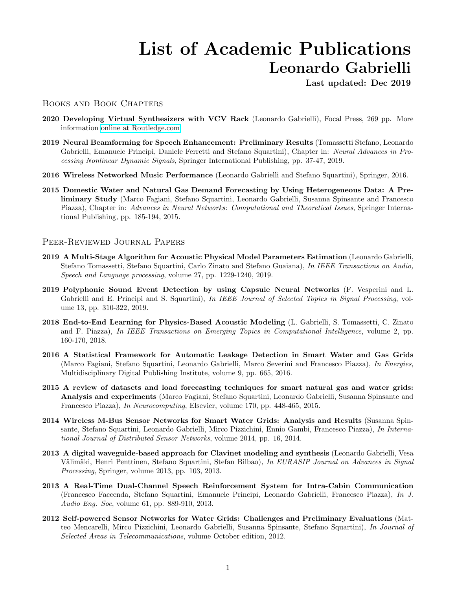## List of Academic Publications Leonardo Gabrielli

Last updated: Dec 2019

## Books and Book Chapters

- 2020 Developing Virtual Synthesizers with VCV Rack (Leonardo Gabrielli), Focal Press, 269 pp. More information [online at Routledge.com.](https://www.routledge.com/Developing-Virtual-Synthesizers-with-VCV-Rack/Gabrielli/p/book/9780367077730)
- 2019 Neural Beamforming for Speech Enhancement: Preliminary Results (Tomassetti Stefano, Leonardo Gabrielli, Emanuele Principi, Daniele Ferretti and Stefano Squartini), Chapter in: Neural Advances in Processing Nonlinear Dynamic Signals, Springer International Publishing, pp. 37-47, 2019.
- 2016 Wireless Networked Music Performance (Leonardo Gabrielli and Stefano Squartini), Springer, 2016.
- 2015 Domestic Water and Natural Gas Demand Forecasting by Using Heterogeneous Data: A Preliminary Study (Marco Fagiani, Stefano Squartini, Leonardo Gabrielli, Susanna Spinsante and Francesco Piazza), Chapter in: Advances in Neural Networks: Computational and Theoretical Issues, Springer International Publishing, pp. 185-194, 2015.

## Peer-Reviewed Journal Papers

- 2019 A Multi-Stage Algorithm for Acoustic Physical Model Parameters Estimation (Leonardo Gabrielli, Stefano Tomassetti, Stefano Squartini, Carlo Zinato and Stefano Guaiana), In IEEE Transactions on Audio, Speech and Language processing, volume 27, pp. 1229-1240, 2019.
- 2019 Polyphonic Sound Event Detection by using Capsule Neural Networks (F. Vesperini and L. Gabrielli and E. Principi and S. Squartini), In IEEE Journal of Selected Topics in Signal Processing, volume 13, pp. 310-322, 2019.
- 2018 End-to-End Learning for Physics-Based Acoustic Modeling (L. Gabrielli, S. Tomassetti, C. Zinato and F. Piazza), In IEEE Transactions on Emerging Topics in Computational Intelligence, volume 2, pp. 160-170, 2018.
- 2016 A Statistical Framework for Automatic Leakage Detection in Smart Water and Gas Grids (Marco Fagiani, Stefano Squartini, Leonardo Gabrielli, Marco Severini and Francesco Piazza), In Energies, Multidisciplinary Digital Publishing Institute, volume 9, pp. 665, 2016.
- 2015 A review of datasets and load forecasting techniques for smart natural gas and water grids: Analysis and experiments (Marco Fagiani, Stefano Squartini, Leonardo Gabrielli, Susanna Spinsante and Francesco Piazza), In Neurocomputing, Elsevier, volume 170, pp. 448-465, 2015.
- 2014 Wireless M-Bus Sensor Networks for Smart Water Grids: Analysis and Results (Susanna Spinsante, Stefano Squartini, Leonardo Gabrielli, Mirco Pizzichini, Ennio Gambi, Francesco Piazza), In International Journal of Distributed Sensor Networks, volume 2014, pp. 16, 2014.
- 2013 A digital waveguide-based approach for Clavinet modeling and synthesis (Leonardo Gabrielli, Vesa Välimäki, Henri Penttinen, Stefano Squartini, Stefan Bilbao), In EURASIP Journal on Advances in Signal Processing, Springer, volume 2013, pp. 103, 2013.
- 2013 A Real-Time Dual-Channel Speech Reinforcement System for Intra-Cabin Communication (Francesco Faccenda, Stefano Squartini, Emanuele Principi, Leonardo Gabrielli, Francesco Piazza), In J. Audio Eng. Soc, volume 61, pp. 889-910, 2013.
- 2012 Self-powered Sensor Networks for Water Grids: Challenges and Preliminary Evaluations (Matteo Mencarelli, Mirco Pizzichini, Leonardo Gabrielli, Susanna Spinsante, Stefano Squartini), In Journal of Selected Areas in Telecommunications, volume October edition, 2012.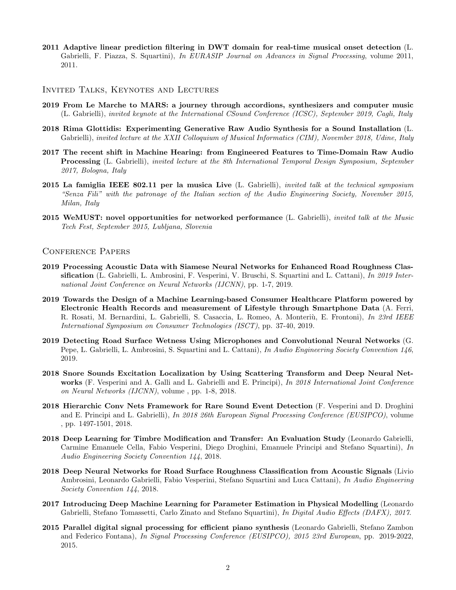- 2011 Adaptive linear prediction filtering in DWT domain for real-time musical onset detection (L. Gabrielli, F. Piazza, S. Squartini), In EURASIP Journal on Advances in Signal Processing, volume 2011, 2011.
- Invited Talks, Keynotes and Lectures
- 2019 From Le Marche to MARS: a journey through accordions, synthesizers and computer music (L. Gabrielli), invited keynote at the International CSound Conference (ICSC), September 2019, Cagli, Italy
- 2018 Rima Glottidis: Experimenting Generative Raw Audio Synthesis for a Sound Installation (L. Gabrielli), invited lecture at the XXII Colloquium of Musical Informatics (CIM), November 2018, Udine, Italy
- 2017 The recent shift in Machine Hearing: from Engineered Features to Time-Domain Raw Audio **Processing** (L. Gabrielli), invited lecture at the 8th International Temporal Design Symposium, September 2017, Bologna, Italy
- 2015 La famiglia IEEE 802.11 per la musica Live (L. Gabrielli), *invited talk at the technical symposium* "Senza Fili" with the patronage of the Italian section of the Audio Engineering Society, November 2015, Milan, Italy
- 2015 WeMUST: novel opportunities for networked performance (L. Gabrielli), invited talk at the Music Tech Fest, September 2015, Lubljana, Slovenia

## Conference Papers

- 2019 Processing Acoustic Data with Siamese Neural Networks for Enhanced Road Roughness Classification (L. Gabrielli, L. Ambrosini, F. Vesperini, V. Bruschi, S. Squartini and L. Cattani), In 2019 International Joint Conference on Neural Networks (IJCNN), pp. 1-7, 2019.
- 2019 Towards the Design of a Machine Learning-based Consumer Healthcare Platform powered by Electronic Health Records and measurement of Lifestyle through Smartphone Data (A. Ferri, R. Rosati, M. Bernardini, L. Gabrielli, S. Casaccia, L. Romeo, A. Monteriù, E. Frontoni), In 23rd IEEE International Symposium on Consumer Technologies (ISCT), pp. 37-40, 2019.
- 2019 Detecting Road Surface Wetness Using Microphones and Convolutional Neural Networks (G. Pepe, L. Gabrielli, L. Ambrosini, S. Squartini and L. Cattani), In Audio Engineering Society Convention 146, 2019.
- 2018 Snore Sounds Excitation Localization by Using Scattering Transform and Deep Neural Networks (F. Vesperini and A. Galli and L. Gabrielli and E. Principi), In 2018 International Joint Conference on Neural Networks (IJCNN), volume , pp. 1-8, 2018.
- 2018 Hierarchic Conv Nets Framework for Rare Sound Event Detection (F. Vesperini and D. Droghini and E. Principi and L. Gabrielli), In 2018 26th European Signal Processing Conference (EUSIPCO), volume , pp. 1497-1501, 2018.
- 2018 Deep Learning for Timbre Modification and Transfer: An Evaluation Study (Leonardo Gabrielli, Carmine Emanuele Cella, Fabio Vesperini, Diego Droghini, Emanuele Principi and Stefano Squartini), In Audio Engineering Society Convention 144, 2018.
- 2018 Deep Neural Networks for Road Surface Roughness Classification from Acoustic Signals (Livio Ambrosini, Leonardo Gabrielli, Fabio Vesperini, Stefano Squartini and Luca Cattani), In Audio Engineering Society Convention 144, 2018.
- 2017 Introducing Deep Machine Learning for Parameter Estimation in Physical Modelling (Leonardo Gabrielli, Stefano Tomassetti, Carlo Zinato and Stefano Squartini), In Digital Audio Effects (DAFX), 2017.
- 2015 Parallel digital signal processing for efficient piano synthesis (Leonardo Gabrielli, Stefano Zambon and Federico Fontana), In Signal Processing Conference (EUSIPCO), 2015 23rd European, pp. 2019-2022, 2015.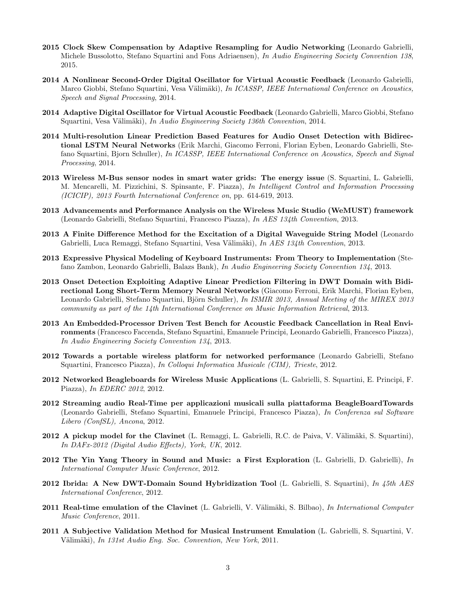- 2015 Clock Skew Compensation by Adaptive Resampling for Audio Networking (Leonardo Gabrielli, Michele Bussolotto, Stefano Squartini and Fons Adriaensen), In Audio Engineering Society Convention 138, 2015.
- 2014 A Nonlinear Second-Order Digital Oscillator for Virtual Acoustic Feedback (Leonardo Gabrielli, Marco Giobbi, Stefano Squartini, Vesa Välimäki), In ICASSP, IEEE International Conference on Acoustics, Speech and Signal Processing, 2014.
- 2014 Adaptive Digital Oscillator for Virtual Acoustic Feedback (Leonardo Gabrielli, Marco Giobbi, Stefano Squartini, Vesa Välimäki), In Audio Engineering Society 136th Convention, 2014.
- 2014 Multi-resolution Linear Prediction Based Features for Audio Onset Detection with Bidirectional LSTM Neural Networks (Erik Marchi, Giacomo Ferroni, Florian Eyben, Leonardo Gabrielli, Stefano Squartini, Bjorn Schuller), In ICASSP, IEEE International Conference on Acoustics, Speech and Signal Processing, 2014.
- 2013 Wireless M-Bus sensor nodes in smart water grids: The energy issue (S. Squartini, L. Gabrielli, M. Mencarelli, M. Pizzichini, S. Spinsante, F. Piazza), In Intelligent Control and Information Processing (ICICIP), 2013 Fourth International Conference on, pp. 614-619, 2013.
- 2013 Advancements and Performance Analysis on the Wireless Music Studio (WeMUST) framework (Leonardo Gabrielli, Stefano Squartini, Francesco Piazza), In AES 134th Convention, 2013.
- 2013 A Finite Difference Method for the Excitation of a Digital Waveguide String Model (Leonardo Gabrielli, Luca Remaggi, Stefano Squartini, Vesa Välimäki), In AES 134th Convention, 2013.
- 2013 Expressive Physical Modeling of Keyboard Instruments: From Theory to Implementation (Stefano Zambon, Leonardo Gabrielli, Balazs Bank), In Audio Engineering Society Convention 134, 2013.
- 2013 Onset Detection Exploiting Adaptive Linear Prediction Filtering in DWT Domain with Bidirectional Long Short-Term Memory Neural Networks (Giacomo Ferroni, Erik Marchi, Florian Eyben, Leonardo Gabrielli, Stefano Squartini, Björn Schuller), In ISMIR 2013, Annual Meeting of the MIREX 2013 community as part of the 14th International Conference on Music Information Retrieval, 2013.
- 2013 An Embedded-Processor Driven Test Bench for Acoustic Feedback Cancellation in Real Environments (Francesco Faccenda, Stefano Squartini, Emanuele Principi, Leonardo Gabrielli, Francesco Piazza), In Audio Engineering Society Convention 134, 2013.
- 2012 Towards a portable wireless platform for networked performance (Leonardo Gabrielli, Stefano Squartini, Francesco Piazza), In Colloqui Informatica Musicale (CIM), Trieste, 2012.
- 2012 Networked Beagleboards for Wireless Music Applications (L. Gabrielli, S. Squartini, E. Principi, F. Piazza), In EDERC 2012, 2012.
- 2012 Streaming audio Real-Time per applicazioni musicali sulla piattaforma BeagleBoardTowards (Leonardo Gabrielli, Stefano Squartini, Emanuele Principi, Francesco Piazza), In Conferenza sul Software Libero (ConfSL), Ancona, 2012.
- **2012 A pickup model for the Clavinet** (L. Remaggi, L. Gabrielli, R.C. de Paiva, V. Välimäki, S. Squartini), In DAFx-2012 (Digital Audio Effects), York, UK, 2012.
- 2012 The Yin Yang Theory in Sound and Music: a First Exploration  $(L. Gabrielli, D. Gabrielli)$ ,  $In$ International Computer Music Conference, 2012.
- 2012 Ibrida: A New DWT-Domain Sound Hybridization Tool (L. Gabrielli, S. Squartini), In  $45th$  AES International Conference, 2012.
- 2011 Real-time emulation of the Clavinet (L. Gabrielli, V. Välimäki, S. Bilbao), In International Computer Music Conference, 2011.
- 2011 A Subjective Validation Method for Musical Instrument Emulation (L. Gabrielli, S. Squartini, V. Välimäki), In 131st Audio Eng. Soc. Convention, New York, 2011.